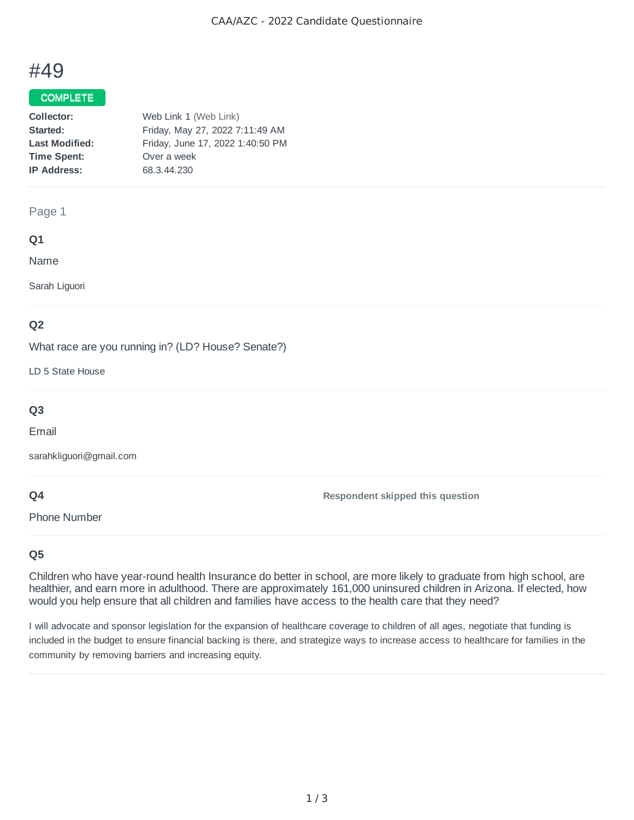# #49

## COMPLETE

| Web Link 1 (Web Link)            |
|----------------------------------|
| Friday, May 27, 2022 7:11:49 AM  |
| Friday, June 17, 2022 1:40:50 PM |
| Over a week                      |
| 68.3.44.230                      |
|                                  |

#### Page 1

## **Q1**

Name

Sarah Liguori

# **Q2**

What race are you running in? (LD? House? Senate?)

LD 5 State House

# **Q3**

Email

sarahkliguori@gmail.com

## **Q4**

Phone Number

**Respondent skipped this question**

# **Q5**

Children who have year-round health Insurance do better in school, are more likely to graduate from high school, are healthier, and earn more in adulthood. There are approximately 161,000 uninsured children in Arizona. If elected, how would you help ensure that all children and families have access to the health care that they need?

I will advocate and sponsor legislation for the expansion of healthcare coverage to children of all ages, negotiate that funding is included in the budget to ensure financial backing is there, and strategize ways to increase access to healthcare for families in the community by removing barriers and increasing equity.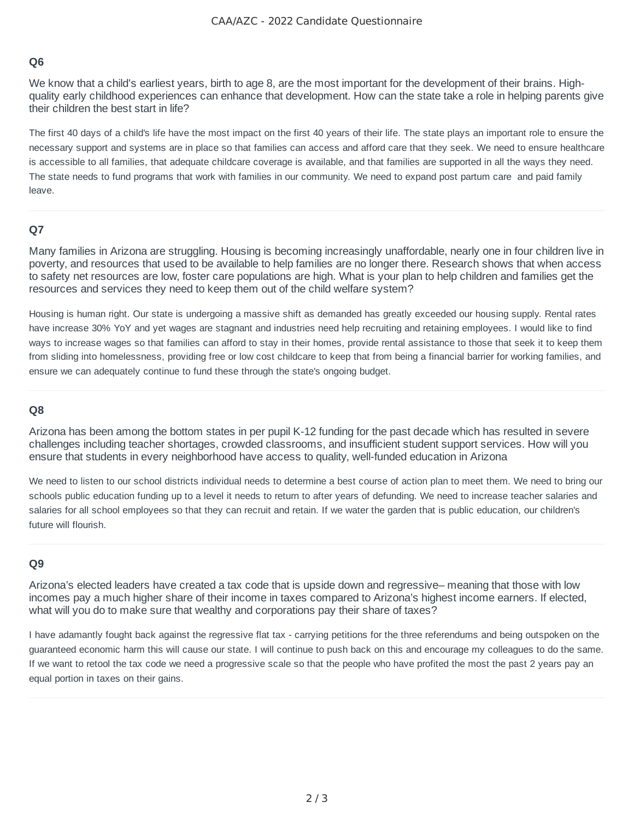## **Q6**

We know that a child's earliest years, birth to age 8, are the most important for the development of their brains. Highquality early childhood experiences can enhance that development. How can the state take a role in helping parents give their children the best start in life?

The first 40 days of a child's life have the most impact on the first 40 years of their life. The state plays an important role to ensure the necessary support and systems are in place so that families can access and afford care that they seek. We need to ensure healthcare is accessible to all families, that adequate childcare coverage is available, and that families are supported in all the ways they need. The state needs to fund programs that work with families in our community. We need to expand post partum care and paid family leave.

## **Q7**

Many families in Arizona are struggling. Housing is becoming increasingly unaffordable, nearly one in four children live in poverty, and resources that used to be available to help families are no longer there. Research shows that when access to safety net resources are low, foster care populations are high. What is your plan to help children and families get the resources and services they need to keep them out of the child welfare system?

Housing is human right. Our state is undergoing a massive shift as demanded has greatly exceeded our housing supply. Rental rates have increase 30% YoY and yet wages are stagnant and industries need help recruiting and retaining employees. I would like to find ways to increase wages so that families can afford to stay in their homes, provide rental assistance to those that seek it to keep them from sliding into homelessness, providing free or low cost childcare to keep that from being a financial barrier for working families, and ensure we can adequately continue to fund these through the state's ongoing budget.

#### **Q8**

Arizona has been among the bottom states in per pupil K-12 funding for the past decade which has resulted in severe challenges including teacher shortages, crowded classrooms, and insufficient student support services. How will you ensure that students in every neighborhood have access to quality, well-funded education in Arizona

We need to listen to our school districts individual needs to determine a best course of action plan to meet them. We need to bring our schools public education funding up to a level it needs to return to after years of defunding. We need to increase teacher salaries and salaries for all school employees so that they can recruit and retain. If we water the garden that is public education, our children's future will flourish.

## **Q9**

Arizona's elected leaders have created a tax code that is upside down and regressive– meaning that those with low incomes pay a much higher share of their income in taxes compared to Arizona's highest income earners. If elected, what will you do to make sure that wealthy and corporations pay their share of taxes?

I have adamantly fought back against the regressive flat tax - carrying petitions for the three referendums and being outspoken on the guaranteed economic harm this will cause our state. I will continue to push back on this and encourage my colleagues to do the same. If we want to retool the tax code we need a progressive scale so that the people who have profited the most the past 2 years pay an equal portion in taxes on their gains.